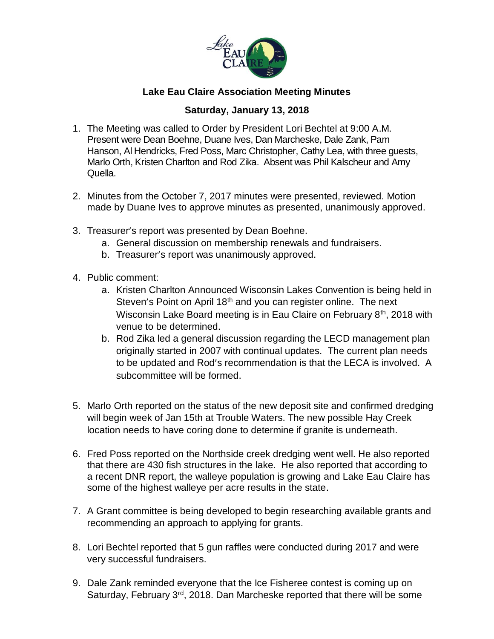

## **Lake Eau Claire Association Meeting Minutes**

## **Saturday, January 13, 2018**

- 1. The Meeting was called to Order by President Lori Bechtel at 9:00 A.M. Present were Dean Boehne, Duane Ives, Dan Marcheske, Dale Zank, Pam Hanson, Al Hendricks, Fred Poss, Marc Christopher, Cathy Lea, with three guests, Marlo Orth, Kristen Charlton and Rod Zika. Absent was Phil Kalscheur and Amy Quella.
- 2. Minutes from the October 7, 2017 minutes were presented, reviewed. Motion made by Duane Ives to approve minutes as presented, unanimously approved.
- 3. Treasurer's report was presented by Dean Boehne.
	- a. General discussion on membership renewals and fundraisers.
	- b. Treasurer's report was unanimously approved.
- 4. Public comment:
	- a. Kristen Charlton Announced Wisconsin Lakes Convention is being held in Steven's Point on April  $18<sup>th</sup>$  and you can register online. The next Wisconsin Lake Board meeting is in Eau Claire on February 8<sup>th</sup>, 2018 with venue to be determined.
	- b. Rod Zika led a general discussion regarding the LECD management plan originally started in 2007 with continual updates. The current plan needs to be updated and Rod's recommendation is that the LECA is involved. A subcommittee will be formed.
- 5. Marlo Orth reported on the status of the new deposit site and confirmed dredging will begin week of Jan 15th at Trouble Waters. The new possible Hay Creek location needs to have coring done to determine if granite is underneath.
- 6. Fred Poss reported on the Northside creek dredging went well. He also reported that there are 430 fish structures in the lake. He also reported that according to a recent DNR report, the walleye population is growing and Lake Eau Claire has some of the highest walleye per acre results in the state.
- 7. A Grant committee is being developed to begin researching available grants and recommending an approach to applying for grants.
- 8. Lori Bechtel reported that 5 gun raffles were conducted during 2017 and were very successful fundraisers.
- 9. Dale Zank reminded everyone that the Ice Fisheree contest is coming up on Saturday, February 3<sup>rd</sup>, 2018. Dan Marcheske reported that there will be some